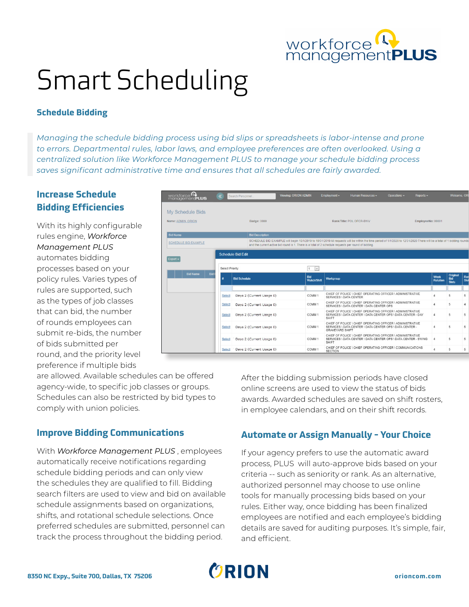

# Smart Scheduling

### **Schedule Bidding**

*Managing the schedule bidding process using bid slips or spreadsheets is labor-intense and prone to errors. Departmental rules, labor laws, and employee preferences are often overlooked. Using a centralized solution like Workforce Management PLUS to manage your schedule bidding process saves significant administrative time and ensures that all schedules are fairly awarded.*

## **Increase Schedule Bidding Efficiencies**

With its highly configurable rules engine, *Workforce Management PLUS*  automates bidding processes based on your policy rules. Varies types of rules are supported, such as the types of job classes that can bid, the number of rounds employees can submit re-bids, the number of bids submitted per round, and the priority level preference if multiple bids

 $\sum_{\text{WOTKforce}}$ My Schedule Bids Name: ADMIN, ORION Badge: 0000 Rank/Title: POL OFCR-BWV EmployeeNo: 00001 ll begin 10/1/2019 to 10/31/2019 All requests will be within the tim<br>I is 1. There is a total of 2 schedule requests per round of bidding SCHEDULE BID EXAMPLE Schedule Bid Edit Export - $1 - v$ Select Priority: **Bid**<br>Watch/Shift **Bid Schedule** CHIEF OF POLICE \ CHIEF OPERATING OFFICER \ ADMINISTRATIVE<br>SERVICES \ DATA CENTER Days 2 (Current Usage 0) COMM<sub>1</sub> Select CHIEF OF POLICE \ CHIEF OPERATING OFFICER \ ADMINISTRATIVE<br>SERVICES \ DATA CENTER \ DATA CENTER OPS COMM<sub>1</sub> Select Days 2 (Current Usage 0) CHIEF OF POLICE \ CHIEF OPERATING OFFICER \ ADMINISTRATIVE<br>SERVICES \ DATA CENTER \ DATA CENTER OPS \ DATA CENTER - DAY Select Days 2 (Current Usage 0) COMM<sub>1</sub> HIEF OF POLICE \ CHIEF OPERATING OFFICER \ ADMINISTRATI<br>ERVICES \ DATA CENTER \ DATA CENTER OPS \ DATA CENTER {<br>IRAVEYARD SHIFT Select Days 2 (Current Usage 0) COMM 1 HIEF OF POLICE \ CHIEF OPERATING OFFICER \ ADMINISTRATIVE<br>ERVICES \ DATA CENTER \ DATA CENTER OPS \ DATA CENTER - S\ Select Days 2 (Current Usage 0) COMM<sub>1</sub> HIEF OF POLICE \ CHIEF OPERATING OFFICER \ COMMUNICATIONS Select Days 2 (Current Usage 0) COMM<sub>1</sub>

are allowed. Available schedules can be offered agency-wide, to specific job classes or groups. Schedules can also be restricted by bid types to comply with union policies.

## **Improve Bidding Communications**

With *Workforce Management PLUS* , employees automatically receive notifications regarding schedule bidding periods and can only view the schedules they are qualified to fill. Bidding search filters are used to view and bid on available schedule assignments based on organizations, shifts, and rotational schedule selections. Once preferred schedules are submitted, personnel can track the process throughout the bidding period.

After the bidding submission periods have closed online screens are used to view the status of bids awards. Awarded schedules are saved on shift rosters, in employee calendars, and on their shift records.

#### **Automate or Assign Manually - Your Choice**

If your agency prefers to use the automatic award process, PLUS will auto-approve bids based on your criteria -- such as seniority or rank. As an alternative, authorized personnel may choose to use online tools for manually processing bids based on your rules. Either way, once bidding has been finalized employees are notified and each employee's bidding details are saved for auditing purposes. It's simple, fair, and efficient.